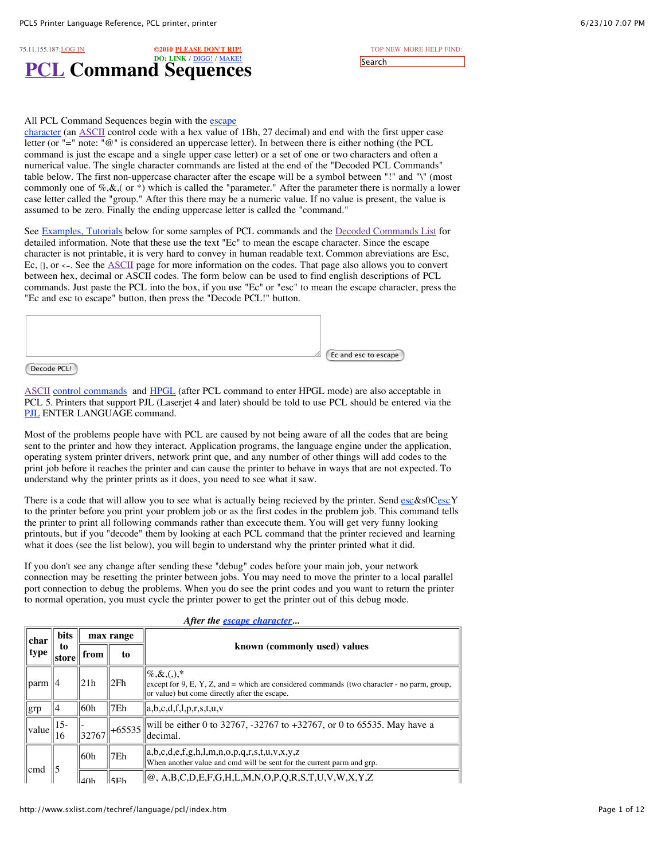[TOP](http://www.sxlist.com/techref/index.htm) [NEW](http://www.sxlist.com/techref/language/pcl/new201006.txt) [MORE](http://www.sxlist.com/techref/postsearch.asp?from=%2Ftechref%2Flanguage%2Fpcl%2Findex%2Ehtm) [HELP](mailto:webmaster@sxlist.com?subject=I%20need%20someone%20to%20help%20me%20with%3A%20) [FIND:](http://www.sxlist.com/techref/postsearch.asp) **Search** 

## [All PCL Command Sequences begin with the](http://www.sxlist.com/techref/language/pcl/escchr.htm) **escape**

character (an [ASCII](http://www.sxlist.com/techref/ascii.htm) control code with a hex value of 1Bh, 27 decimal) and end with the first upper case letter (or "=" note: "@" is considered an uppercase letter). In between there is either nothing (the PCL command is just the escape and a single upper case letter) or a set of one or two characters and often a numerical value. The single character commands are listed at the end of the "Decoded PCL Commands" table below. The first non-uppercase character after the escape will be a symbol between "!" and "\" (most commonly one of  $\mathcal{C}_c$ ,  $\mathcal{C}_s$ , (or  $\hat{C}_s$ ) which is called the "parameter." After the parameter there is normally a lower case letter called the "group." After this there may be a numeric value. If no value is present, the value is assumed to be zero. Finally the ending uppercase letter is called the "command."

See [Examples, Tutorials](http://www.sxlist.com/techref/language/pcl/index.htm#Examples) below for some samples of PCL commands and the [Decoded Commands List](http://www.sxlist.com/techref/language/pcl/decoded.htm) for detailed information. Note that these use the text "Ec" to mean the escape character. Since the escape character is not printable, it is very hard to convey in human readable text. Common abreviations are Esc, Ec, [], or <-. See the [ASCII](http://www.sxlist.com/techref/ascii.htm) page for more information on the codes. That page also allows you to convert between hex, decimal or ASCII codes. The form below can be used to find english descriptions of PCL commands. Just paste the PCL into the box, if you use "Ec" or "esc" to mean the escape character, press the "Ec and esc to escape" button, then press the "Decode PCL!" button.

| __ |  | a | Ec and esc to escape |
|----|--|---|----------------------|

```
Decode PCL!
```
[ASCII](http://www.sxlist.com/techref/ascii.htm) [control commands](http://www.sxlist.com/techref/language/pcl/asciiprn.htm) and [HPGL](http://www.sxlist.com/techref/language/hpgl.htm) (after PCL command to enter HPGL mode) are also acceptable in PCL 5. Printers that support PJL (Laserjet 4 and later) should be told to use PCL should be entered via the [PJL](http://www.sxlist.com/techref/language/pjls.htm) ENTER LANGUAGE command.

Most of the problems people have with PCL are caused by not being aware of all the codes that are being sent to the printer and how they interact. Application programs, the language engine under the application, operating system printer drivers, network print que, and any number of other things will add codes to the print job before it reaches the printer and can cause the printer to behave in ways that are not expected. To understand why the printer prints as it does, you need to see what it saw.

There is a code that will allow you to see what is actually being recieved by the printer. Send [esc](http://www.sxlist.com/techref/language/pcl/escchr.htm)&s0C[esc](http://www.sxlist.com/techref/language/pcl/escchr.htm)Y to the printer before you print your problem job or as the first codes in the problem job. This command tells the printer to print all following commands rather than excecute them. You will get very funny looking printouts, but if you "decode" them by looking at each PCL command that the printer recieved and learning what it does (see the list below), you will begin to understand why the printer printed what it did.

If you don't see any change after sending these "debug" codes before your main job, your network connection may be resetting the printer between jobs. You may need to move the printer to a local parallel port connection to debug the problems. When you do see the print codes and you want to return the printer to normal operation, you must cycle the printer power to get the printer out of this debug mode.

| After the escape character |              |           |          |                                                                                                                                                                                                 |  |  |
|----------------------------|--------------|-----------|----------|-------------------------------------------------------------------------------------------------------------------------------------------------------------------------------------------------|--|--|
| char<br>  type             | <b>bits</b>  | max range |          |                                                                                                                                                                                                 |  |  |
|                            | to<br> store | from      | to       | known (commonly used) values                                                                                                                                                                    |  |  |
| parm                       | 14           | 121h      | 2Fh      | $\frac{\phi}{\phi}(\mathcal{X}, \mathcal{X})$<br>except for 9, E, Y, Z, and $=$ which are considered commands (two character - no parm, group,<br>or value) but come directly after the escape. |  |  |
| grp                        | 4            | 60h       | 7Eh      | $ a,b,c,d,f,l,p,r,s,t,u,v\rangle$                                                                                                                                                               |  |  |
| value                      | $15-$<br>16  | 32767     | $+65535$ | will be either 0 to 32767, -32767 to $+32767$ , or 0 to 65535. May have a<br>decimal.                                                                                                           |  |  |
| cmd                        |              | 60h       | 7Eh      | $ a,b,c,d,e,f,g,h,l,m,n,o,p,q,r,s,t,u,v,x,y,z$<br>When another value and cmd will be sent for the current parm and grp.                                                                         |  |  |
|                            |              |           | 5Fh      | $  \omega$ , A,B,C,D,E,F,G,H,L,M,N,O,P,Q,R,S,T,U,V,W,X,Y,Z                                                                                                                                      |  |  |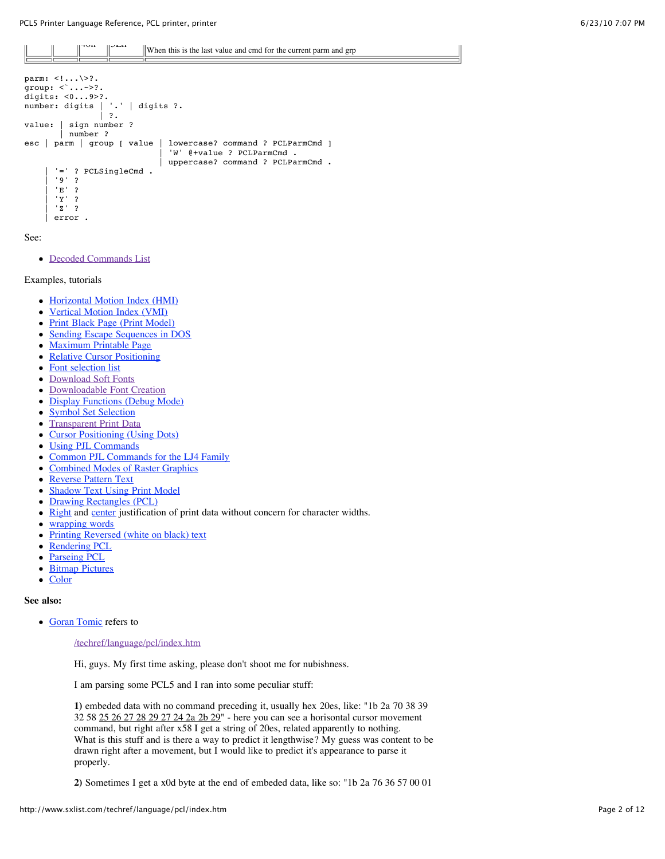When this is the last value and cmd for the current parm and grp

```
parm: <!...\>?.
group: <`...~>?.
digits: <0...9>?.
number: digits | '.' | digits ?.
                  | ?.
value: | sign number ?
    | number ?<br>| parm | group [ value
esc | parm | group [ value | lowercase? command ? PCLParmCmd ]
                                 | 'W' @+value ? PCLParmCmd .
                                uppercase? command ? PCLParmCmd .
       | '=' ? PCLSingleCmd .
      | '9' ?
       | 'E' ?
       | 'Y' ?
      | 'Z' ?
      error.
```
See:

[Decoded Commands List](http://www.sxlist.com/techref/language/pcl/decoded.htm)

Examples, tutorials

- [Horizontal Motion Index \(HMI\)](http://www.sxlist.com/techref/language/pcl/lj1202.htm)
- [Vertical Motion Index \(VMI\)](http://www.sxlist.com/techref/language/pcl/lj1203.htm)  $\bullet$
- $\bullet$ [Print Black Page \(Print Model\)](http://www.sxlist.com/techref/language/pcl/lj1438.htm)
- [Sending Escape Sequences in DOS](http://www.sxlist.com/techref/language/pcl/lj1551.htm)
- [Maximum Printable Page](http://www.sxlist.com/techref/language/pcl/lj1559.htm)
- [Relative Cursor Positioning](http://www.sxlist.com/techref/language/pcl/lj1602.htm)
- [Font selection list](http://www.sxlist.com/techref/language/pcl/fonts.htm)
- [Download Soft Fonts](http://www.sxlist.com/techref/language/pcl/lj1613.htm)
- [Downloadable Font Creation](http://www.sxlist.com/techref/language/pcl/fontdnload.htm)
- [Display Functions \(Debug Mode\)](http://www.sxlist.com/techref/language/pcl/lj1614.htm)
- [Symbol Set Selection](http://www.sxlist.com/techref/language/pcl/lj1616.htm)  $\bullet$
- [Transparent Print Data](http://www.sxlist.com/techref/language/pcl/lj1617.htm)
- [Cursor Positioning \(Using Dots\)](http://www.sxlist.com/techref/language/pcl/lj1623.htm)  $\bullet$
- [Using PJL Commands](http://www.sxlist.com/techref/language/pcl/lj1686.htm)  $\bullet$
- [Common PJL Commands for the LJ4 Family](http://www.sxlist.com/techref/language/pcl/lj1710.htm)  $\bullet$
- [Combined Modes of Raster Graphics](http://www.sxlist.com/techref/language/pcl/lj1716.htm)  $\bullet$
- [Reverse Pattern Text](http://www.sxlist.com/techref/language/pcl/lj1718.htm)  $\bullet$
- [Shadow Text Using Print Model](http://www.sxlist.com/techref/language/pcl/lj1719.htm)  $\bullet$
- [Drawing Rectangles \(PCL\)](http://www.sxlist.com/techref/language/pcl/lj1733.htm)  $\bullet$
- [Right](http://www.sxlist.com/techref/language/pcl/justright.htm) and [center](http://www.sxlist.com/techref/language/pcl/justcentered.htm) justification of print data without concern for character widths.  $\bullet$
- [wrapping words](http://www.sxlist.com/techref/language/pcl/wordwrap.htm)  $\bullet$
- $\bullet$ [Printing Reversed \(white on black\) text](http://www.sxlist.com/techref/language/pcl/reversetext.htm)
- $\bullet$ [Rendering PCL](http://www.sxlist.com/techref/language/pcl/render.htm)
- [Parseing PCL](http://www.sxlist.com/techref/language/pcl/parse.htm)  $\bullet$
- **[Bitmap Pictures](http://www.sxlist.com/techref/language/pcl/pictures.htm)**  $\bullet$
- **[Color](http://www.sxlist.com/techref/language/pcl/color.htm)**  $\bullet$

# **See also:**

• Goran [Tomic](http://www.sxlist.com/techref/member/GT-goran-/index.htm) refers to

[/techref/language/pcl/index.htm](http://www.sxlist.com/techref/language/pcl/index.htm)

Hi, guys. My first time asking, please don't shoot me for nubishness.

I am parsing some PCL5 and I ran into some peculiar stuff:

**1)** embeded data with no command preceding it, usually hex 20es, like: "1b 2a 70 38 39 32 58 25 26 27 28 29 27 24 2a 2b 29" - here you can see a horisontal cursor movement command, but right after x58 I get a string of 20es, related apparently to nothing. What is this stuff and is there a way to predict it lengthwise? My guess was content to be drawn right after a movement, but I would like to predict it's appearance to parse it properly.

**2)** Sometimes I get a x0d byte at the end of embeded data, like so: "1b 2a 76 36 57 00 01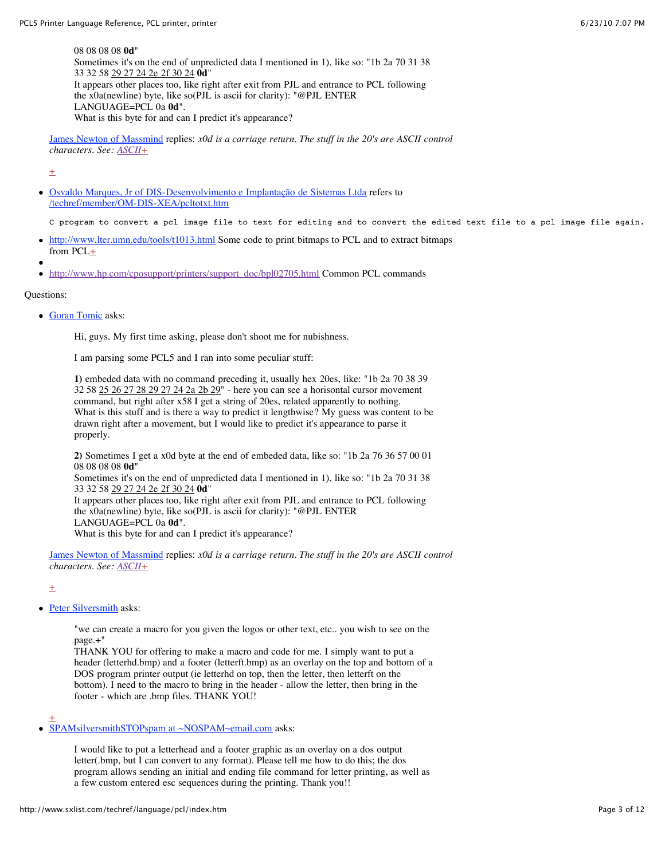08 08 08 08 **0d**" Sometimes it's on the end of unpredicted data I mentioned in 1), like so: "1b 2a 70 31 38 33 32 58 29 27 24 2e 2f 30 24 **0d**" It appears other places too, like right after exit from PJL and entrance to PCL following the x0a(newline) byte, like so(PJL is ascii for clarity): "@PJL ENTER LANGUAGE=PCL 0a **0d**". What is this byte for and can I predict it's appearance?

[James Newton of Massmind](http://www.sxlist.com/techref/member/JMN-EFP-786/index.htm) replies: *x0d is a carriage return. The stuff in the 20's are ASCII control characters. See: [ASCII](http://www.sxlist.com/techref/ascii.htm)*[+](http://www.sxlist.com/techref/login/default.asp?req=/techref/update.asp%3Fact=reply%26url=/techref/language/pcl/index.htm%26id=40339.752349537)

 $+$ 

Osvaldo [Marques, Jr of DIS-Desenvolvimento e Implantação de Sistemas](http://www.sxlist.com/techref/member/OM-DIS-XEA/index.htm) Ltda refers to [/techref/member/OM-DIS-XEA/pcltotxt.htm](http://www.sxlist.com/techref/member/OM-DIS-XEA/pcltotxt.htm)

C program to convert a pcl image file to text for editing and to convert the edited text file to a pcl image file again.

- <http://www.lter.umn.edu/tools/t1013.html>Some code to print bitmaps to PCL and to extract bitmaps from  $PCL_{\pm}$
- [http://www.hp.com/cposupport/printers/support\\_doc/bpl02705.html](http://www.hp.com/cposupport/printers/support_doc/bpl02705.html) Common PCL commands  $\bullet$

## Questions:

• Goran [Tomic](http://www.sxlist.com/techref/member/GT-goran-/index.htm) asks:

Hi, guys. My first time asking, please don't shoot me for nubishness.

I am parsing some PCL5 and I ran into some peculiar stuff:

**1)** embeded data with no command preceding it, usually hex 20es, like: "1b 2a 70 38 39 32 58 25 26 27 28 29 27 24 2a 2b 29" - here you can see a horisontal cursor movement command, but right after x58 I get a string of 20es, related apparently to nothing. What is this stuff and is there a way to predict it lengthwise? My guess was content to be drawn right after a movement, but I would like to predict it's appearance to parse it properly.

**2)** Sometimes I get a x0d byte at the end of embeded data, like so: "1b 2a 76 36 57 00 01 08 08 08 08 **0d**" Sometimes it's on the end of unpredicted data I mentioned in 1), like so: "1b 2a 70 31 38 33 32 58 29 27 24 2e 2f 30 24 **0d**" It appears other places too, like right after exit from PJL and entrance to PCL following the x0a(newline) byte, like so(PJL is ascii for clarity): "@PJL ENTER LANGUAGE=PCL 0a **0d**". What is this byte for and can I predict it's appearance?

[James Newton of Massmind](http://www.sxlist.com/techref/member/JMN-EFP-786/index.htm) replies: *x0d is a carriage return. The stuff in the 20's are ASCII control characters. See: [ASCII](http://www.sxlist.com/techref/ascii.htm)*[+](http://www.sxlist.com/techref/login/default.asp?req=/techref/update.asp%3Fact=reply%26url=/techref/language/pcl/index.htm%26id=40339.752349537)

#### [+](http://www.sxlist.com/techref/login/default.asp?req=/techref/update.asp%3Fact=reply%26url=/techref/language/pcl/index.htm%26id=40332.1465046296)

• Peter [Silversmith](http://www.sxlist.com/techref/member/pS-email-U32/index.htm) asks:

"we can create a macro for you given the logos or other text, etc.. you wish to see on the page.+"

THANK YOU for offering to make a macro and code for me. I simply want to put a header (letterhd.bmp) and a footer (letterft.bmp) as an overlay on the top and bottom of a DOS program printer output (ie letterhd on top, then the letter, then letterft on the bottom). I need to the macro to bring in the header - allow the letter, then bring in the footer - which are .bmp files. THANK YOU!

[+](http://www.sxlist.com/techref/login/default.asp?req=/techref/update.asp%3Fact=reply%26url=/techref/language/pcl/index.htm%26id=40318.8217939815) [SPAMsilversmithSTOPspam at ~NOSPAM~email.com](mailto:SPAMsilversmithSTOPspam%20at%20~NOSPAM~email.com) asks:

> I would like to put a letterhead and a footer graphic as an overlay on a dos output letter(.bmp, but I can convert to any format). Please tell me how to do this; the dos program allows sending an initial and ending file command for letter printing, as well as a few custom entered esc sequences during the printing. Thank you!!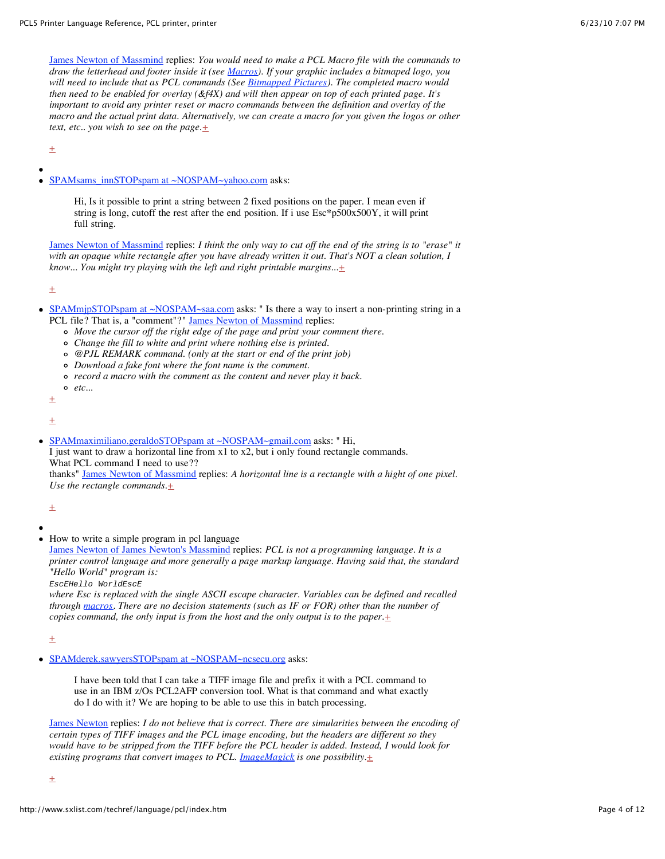[James Newton of Massmind](http://www.sxlist.com/techref/member/JMN-EFP-786/index.htm) replies: *You would need to make a PCL Macro file with the commands to draw the letterhead and footer inside it (see [Macros](http://www.sxlist.com/techref/language/pcl/lj1690.htm)). If your graphic includes a bitmaped logo, you will need to include that as PCL commands (See [Bitmapped Pictures](http://www.sxlist.com/techref/language/pcl/pictures.htm)). The completed macro would then need to be enabled for overlay (&f4X) and will then appear on top of each printed page. It's important to avoid any printer reset or macro commands between the definition and overlay of the macro and the actual print data. Alternatively, we can create a macro for you given the logos or other text, etc.. you wish to see on the page.* $\pm$ 

 $\pm$ 

[SPAMsams\\_innSTOPspam at ~NOSPAM~yahoo.com](mailto:SPAMsams_innSTOPspam%20at%20~NOSPAM~yahoo.com) asks:

Hi, Is it possible to print a string between 2 fixed positions on the paper. I mean even if string is long, cutoff the rest after the end position. If i use Esc\*p500x500Y, it will print full string.

[James Newton of Massmind](http://www.sxlist.com/techref/member/JMN-EFP-786/index.htm) replies: *I think the only way to cut off the end of the string is to "erase" it with an opaque white rectangle after you have already written it out. That's NOT a clean solution, I know... You might try playing with the left and right printable margins...* $\pm$ 

 $\pm$ 

- SPAMmipSTOPspam at ~NOSPAM~saa.com asks: " Is there a way to insert a non-printing string in a PCL file? That is, a "comment"?" [James Newton of Massmind](http://www.sxlist.com/techref/member/JMN-EFP-786/index.htm) replies:
	- *Move the cursor off the right edge of the page and print your comment there.*
	- *Change the fill to white and print where nothing else is printed.*
	- *@PJL REMARK command. (only at the start or end of the print job)*
	- *Download a fake font where the font name is the comment.*
	- *record a macro with the comment as the content and never play it back.*
	- *etc...*
	- $\pm$
	- $\pm$
- [SPAMmaximiliano.geraldoSTOPspam at ~NOSPAM~gmail.com](mailto:SPAMmaximiliano.geraldoSTOPspam%20at%20~NOSPAM~gmail.com) asks: " Hi,

I just want to draw a horizontal line from x1 to x2, but i only found rectangle commands. What PCL command I need to use??

thanks" [James Newton of Massmind](http://www.sxlist.com/techref/member/JMN-EFP-786/index.htm) replies: *A horizontal line is a rectangle with a hight of one pixel. Use the rectangle commands.* $+$ 

[+](http://www.sxlist.com/techref/login/default.asp?req=/techref/update.asp%3Fact=reply%26url=/techref/language/pcl/index.htm%26id=40094.3126967593)

How to write a simple program in pcl language  $\bullet$ 

James [Newton of James Newton's Massmind](http://www.sxlist.com/techref/member/JMN-EFP-786/index.htm) replies: *PCL is not a programming language. It is a printer control language and more generally a page markup language. Having said that, the standard "Hello World" program is:*

EscEHello WorldEscE

*where Esc is replaced with the single ASCII escape character. Variables can be defined and recalled through [macros](http://www.sxlist.com/techref/language/pcl/lj1690.htm). There are no decision statements (such as IF or FOR) other than the number of copies command, the only input is from the host and the only output is to the paper.*[+](http://www.sxlist.com/techref/login/default.asp?req=/techref/update.asp%3Fact=reply%26url=/techref/language/pcl/index.htm%26id=39682.5679976852)

[+](http://www.sxlist.com/techref/login/default.asp?req=/techref/update.asp%3Fact=reply%26url=/techref/language/pcl/index.htm%26id=39681.9381944444)

• [SPAMderek.sawyersSTOPspam at ~NOSPAM~ncsecu.org](mailto:SPAMderek.sawyersSTOPspam%20at%20~NOSPAM~ncsecu.org) asks:

I have been told that I can take a TIFF image file and prefix it with a PCL command to use in an IBM z/Os PCL2AFP conversion tool. What is that command and what exactly do I do with it? We are hoping to be able to use this in batch processing.

James [Newton](http://www.sxlist.com/techref/member/JMN-EFP-786/index.htm) replies: *I do not believe that is correct. There are simularities between the encoding of certain types of TIFF images and the PCL image encoding, but the headers are different so they would have to be stripped from the TIFF before the PCL header is added. Instead, I would look for existing programs that convert images to PCL. [ImageMagick](http://www.imagemagick.org/) is one possibility.*[+](http://www.sxlist.com/techref/login/default.asp?req=/techref/update.asp%3Fact=reply%26url=/techref/language/pcl/index.htm%26id=39529.9619907407)

 $\pm$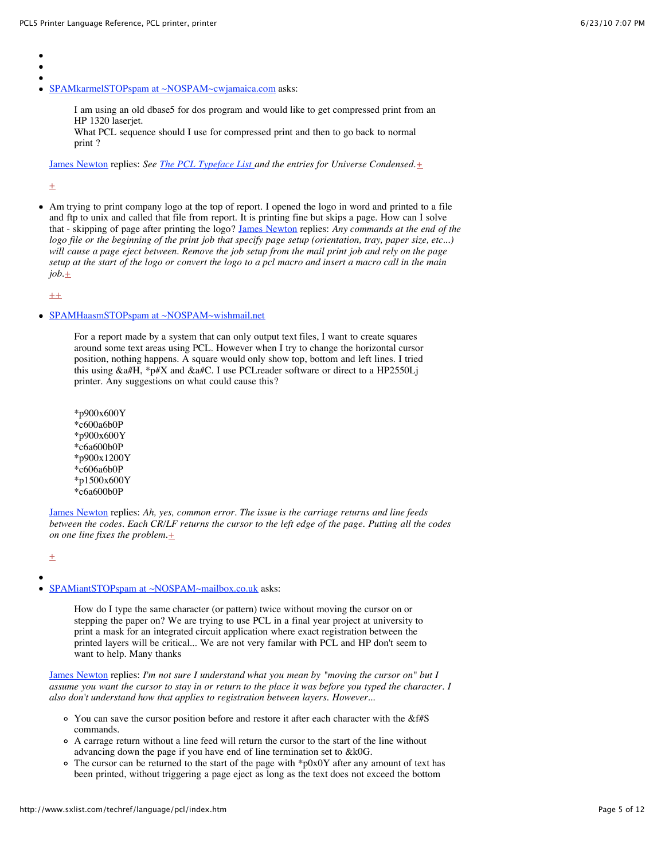- $\bullet$  $\bullet$
- 
- [SPAMkarmelSTOPspam at ~NOSPAM~cwjamaica.com](mailto:SPAMkarmelSTOPspam%20at%20~NOSPAM~cwjamaica.com) asks:

I am using an old dbase5 for dos program and would like to get compressed print from an HP 1320 laserjet.

What PCL sequence should I use for compressed print and then to go back to normal print ?

James [Newton](http://www.sxlist.com/techref/member/JMN-EFP-786/index.htm) replies: *See [The PCL Typeface List](http://www.sxlist.com/techref/language/pcl/fonts.htm) and the entries for Universe Condensed.*[+](http://www.sxlist.com/techref/login/default.asp?req=/techref/update.asp%3Fact=reply%26url=/techref/language/pcl/index.htm%26id=39307.7535185185)

 $\pm$ 

Am trying to print company logo at the top of report. I opened the logo in word and printed to a file and ftp to unix and called that file from report. It is printing fine but skips a page. How can I solve that - skipping of page after printing the logo? James [Newton](http://www.sxlist.com/techref/member/JMN-EFP-786/index.htm) replies: *Any commands at the end of the logo file or the beginning of the print job that specify page setup (orientation, tray, paper size, etc...) will cause a page eject between. Remove the job setup from the mail print job and rely on the page setup at the start of the logo or convert the logo to a pcl macro and insert a macro call in the main*  $job. \pm$ 

 $++$  $++$ 

#### • [SPAMHaasmSTOPspam at ~NOSPAM~wishmail.net](mailto:SPAMHaasmSTOPspam%20at%20~NOSPAM~wishmail.net)

For a report made by a system that can only output text files, I want to create squares around some text areas using PCL. However when I try to change the horizontal cursor position, nothing happens. A square would only show top, bottom and left lines. I tried this using  $\&$ a#H, \*p#X and  $\&$ a#C. I use PCL reader software or direct to a HP2550Lj printer. Any suggestions on what could cause this?

\*p900x600Y \*c600a6b0P \*p900x600Y \*c6a600b0P \*p900x1200Y \*c606a6b0P \*p1500x600Y \*c6a600b0P

James [Newton](http://www.sxlist.com/techref/member/JMN-EFP-786/index.htm) replies: *Ah, yes, common error. The issue is the carriage returns and line feeds between the codes. Each CR/LF returns the cursor to the left edge of the page. Putting all the codes on one line fixes the problem.* $\pm$ 

[+](http://www.sxlist.com/techref/login/default.asp?req=/techref/update.asp%3Fact=reply%26url=/techref/language/pcl/index.htm%26id=39317.2144328704)

## [SPAMiantSTOPspam at ~NOSPAM~mailbox.co.uk](mailto:SPAMiantSTOPspam%20at%20~NOSPAM~mailbox.co.uk) asks:

How do I type the same character (or pattern) twice without moving the cursor on or stepping the paper on? We are trying to use PCL in a final year project at university to print a mask for an integrated circuit application where exact registration between the printed layers will be critical... We are not very familar with PCL and HP don't seem to want to help. Many thanks

James [Newton](http://www.sxlist.com/techref/member/JMN-EFP-786/index.htm) replies: *I'm not sure I understand what you mean by "moving the cursor on" but I assume you want the cursor to stay in or return to the place it was before you typed the character. I also don't understand how that applies to registration between layers. However...*

- You can save the cursor position before and restore it after each character with the &f#S commands.
- A carrage return without a line feed will return the cursor to the start of the line without advancing down the page if you have end of line termination set to &k0G.
- $\circ$  The cursor can be returned to the start of the page with \*p0x0Y after any amount of text has been printed, without triggering a page eject as long as the text does not exceed the bottom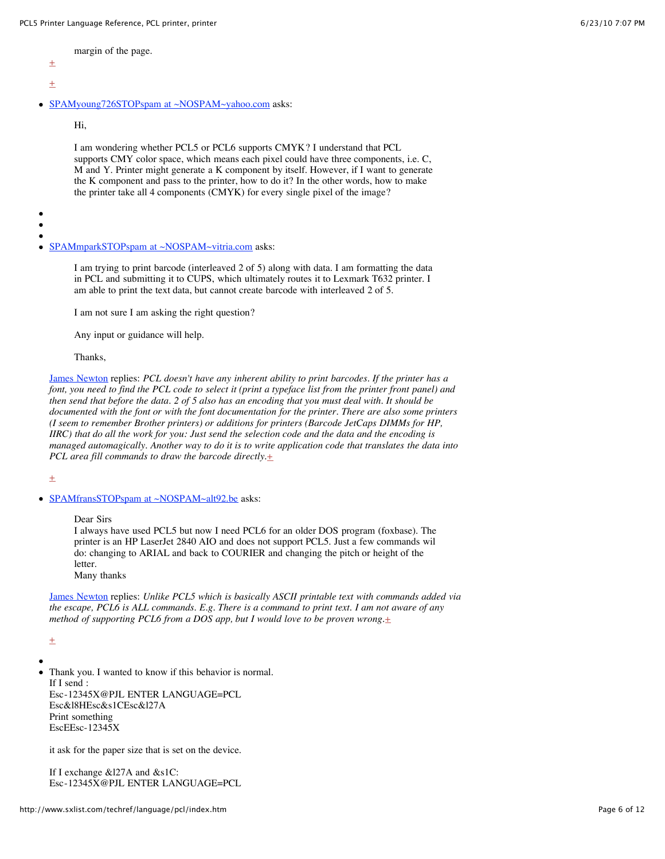- margin of the page.
- $\pm$
- $\pm$

## [SPAMyoung726STOPspam at ~NOSPAM~yahoo.com](mailto:SPAMyoung726STOPspam%20at%20~NOSPAM~yahoo.com) asks:

Hi,

I am wondering whether PCL5 or PCL6 supports CMYK? I understand that PCL supports CMY color space, which means each pixel could have three components, i.e. C, M and Y. Printer might generate a K component by itself. However, if I want to generate the K component and pass to the printer, how to do it? In the other words, how to make the printer take all 4 components (CMYK) for every single pixel of the image?

 $\bullet$ 

 $\bullet$ 

[SPAMmparkSTOPspam at ~NOSPAM~vitria.com](mailto:SPAMmparkSTOPspam%20at%20~NOSPAM~vitria.com) asks:

I am trying to print barcode (interleaved 2 of 5) along with data. I am formatting the data in PCL and submitting it to CUPS, which ultimately routes it to Lexmark T632 printer. I am able to print the text data, but cannot create barcode with interleaved 2 of 5.

I am not sure I am asking the right question?

Any input or guidance will help.

Thanks,

James [Newton](http://www.sxlist.com/techref/member/JMN-EFP-786/index.htm) replies: *PCL doesn't have any inherent ability to print barcodes. If the printer has a font, you need to find the PCL code to select it (print a typeface list from the printer front panel) and then send that before the data. 2 of 5 also has an encoding that you must deal with. It should be documented with the font or with the font documentation for the printer. There are also some printers (I seem to remember Brother printers) or additions for printers (Barcode JetCaps DIMMs for HP, IIRC) that do all the work for you: Just send the selection code and the data and the encoding is managed automagically. Another way to do it is to write application code that translates the data into PCL area fill commands to draw the barcode directly.*[+](http://www.sxlist.com/techref/login/default.asp?req=/techref/update.asp%3Fact=reply%26url=/techref/language/pcl/index.htm%26id=38855.754525463)

 $\pm$ 

• [SPAMfransSTOPspam at ~NOSPAM~alt92.be](mailto:SPAMfransSTOPspam%20at%20~NOSPAM~alt92.be) asks:

Dear Sirs

I always have used PCL5 but now I need PCL6 for an older DOS program (foxbase). The printer is an HP LaserJet 2840 AIO and does not support PCL5. Just a few commands wil do: changing to ARIAL and back to COURIER and changing the pitch or height of the letter. Many thanks

James [Newton](http://www.sxlist.com/techref/member/JMN-EFP-786/index.htm) replies: *Unlike PCL5 which is basically ASCII printable text with commands added via the escape, PCL6 is ALL commands. E.g. There is a command to print text. I am not aware of any method of supporting PCL6 from a DOS app, but I would love to be proven wrong.*[+](http://www.sxlist.com/techref/login/default.asp?req=/techref/update.asp%3Fact=reply%26url=/techref/language/pcl/index.htm%26id=38846.5805208333)

 $\pm$ 

Thank you. I wanted to know if this behavior is normal. If I send : Esc-12345X@PJL ENTER LANGUAGE=PCL Esc&l8HEsc&s1CEsc&l27A Print something EscEEsc-12345X

it ask for the paper size that is set on the device.

If I exchange &l27A and &s1C: Esc-12345X@PJL ENTER LANGUAGE=PCL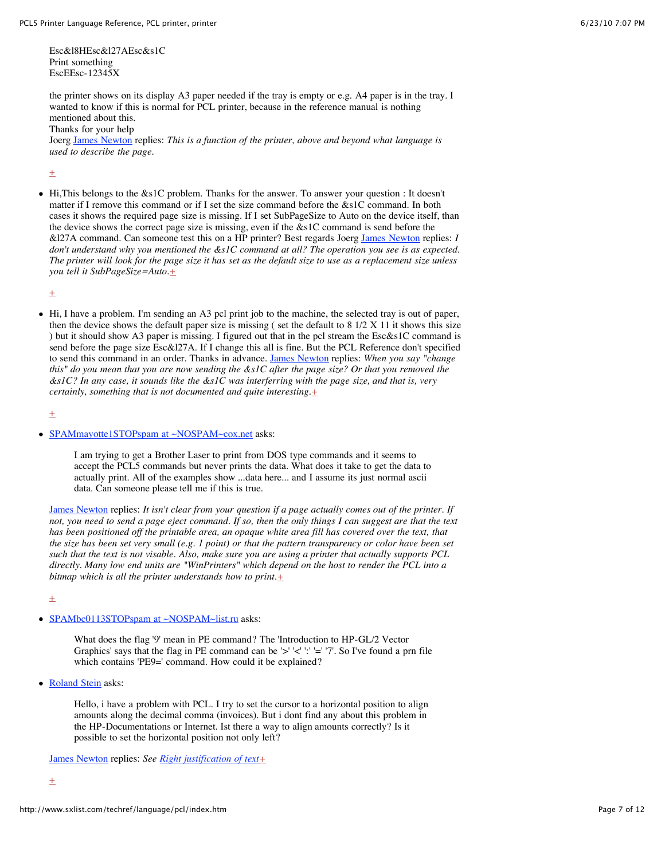Esc&l8HEsc&l27AEsc&s1C Print something EscEEsc-12345X

the printer shows on its display A3 paper needed if the tray is empty or e.g. A4 paper is in the tray. I wanted to know if this is normal for PCL printer, because in the reference manual is nothing mentioned about this. Thanks for your help

Joerg James [Newton](http://www.sxlist.com/techref/member/JMN-EFP-786/index.htm) replies: *This is a function of the printer, above and beyond what language is used to describe the page.*

 $\pm$ 

• Hi,This belongs to the &s1C problem. Thanks for the answer. To answer your question : It doesn't matter if I remove this command or if I set the size command before the &s1C command. In both cases it shows the required page size is missing. If I set SubPageSize to Auto on the device itself, than the device shows the correct page size is missing, even if the &s1C command is send before the &l27A command. Can someone test this on a HP printer? Best regards Joerg James [Newton](http://www.sxlist.com/techref/member/JMN-EFP-786/index.htm) replies: *I don't understand why you mentioned the &s1C command at all? The operation you see is as expected. The printer will look for the page size it has set as the default size to use as a replacement size unless you tell it SubPageSize=Auto.* $\pm$ 

[+](http://www.sxlist.com/techref/login/default.asp?req=/techref/update.asp%3Fact=reply%26url=/techref/language/pcl/index.htm%26id=38765.0219444444)

• Hi, I have a problem. I'm sending an A3 pcl print job to the machine, the selected tray is out of paper, then the device shows the default paper size is missing (set the default to  $8\frac{1}{2}$  X 11 it shows this size ) but it should show A3 paper is missing. I figured out that in the pcl stream the Esc&s1C command is send before the page size Esc&l27A. If I change this all is fine. But the PCL Reference don't specified to send this command in an order. Thanks in advance. James [Newton](http://www.sxlist.com/techref/member/JMN-EFP-786/index.htm) replies: *When you say "change this" do you mean that you are now sending the &s1C after the page size? Or that you removed the &s1C? In any case, it sounds like the &s1C was interferring with the page size, and that is, very certainly, something that is not documented and quite interesting.*[+](http://www.sxlist.com/techref/login/default.asp?req=/techref/update.asp%3Fact=reply%26url=/techref/language/pcl/index.htm%26id=38764.4255092593)

 $\pm$ 

#### [SPAMmayotte1STOPspam at ~NOSPAM~cox.net](mailto:SPAMmayotte1STOPspam%20at%20~NOSPAM~cox.net) asks:

I am trying to get a Brother Laser to print from DOS type commands and it seems to accept the PCL5 commands but never prints the data. What does it take to get the data to actually print. All of the examples show ...data here... and I assume its just normal ascii data. Can someone please tell me if this is true.

James [Newton](http://www.sxlist.com/techref/member/JMN-EFP-786/index.htm) replies: *It isn't clear from your question if a page actually comes out of the printer. If not, you need to send a page eject command. If so, then the only things I can suggest are that the text has been positioned off the printable area, an opaque white area fill has covered over the text, that the size has been set very small (e.g. 1 point) or that the pattern transparency or color have been set such that the text is not visable. Also, make sure you are using a printer that actually supports PCL directly. Many low end units are "WinPrinters" which depend on the host to render the PCL into a bitmap which is all the printer understands how to print.* $\pm$ 

 $\pm$ 

[SPAMbc0113STOPspam at ~NOSPAM~list.ru](mailto:SPAMbc0113STOPspam%20at%20~NOSPAM~list.ru) asks:

What does the flag '9' mean in PE command? The 'Introduction to HP-GL/2 Vector Graphics' says that the flag in PE command can be '>' '<' ':' '=' '7'. So I've found a prn file which contains 'PE9=' command. How could it be explained?

• [Roland](http://www.sxlist.com/techref/member/RS-schramlsoft-C/index.htm) Stein asks:

Hello, i have a problem with PCL. I try to set the cursor to a horizontal position to align amounts along the decimal comma (invoices). But i dont find any about this problem in the HP-Documentations or Internet. Ist there a way to align amounts correctly? Is it possible to set the horizontal position not only left?

James [Newton](http://www.sxlist.com/techref/member/JMN-EFP-786/index.htm) replies: *See [Right justification of](http://www.sxlist.com/techref/language/pcl/justright.htm) text*[+](http://www.sxlist.com/techref/login/default.asp?req=/techref/update.asp%3Fact=reply%26url=/techref/language/pcl/index.htm%26id=38664.6188194444)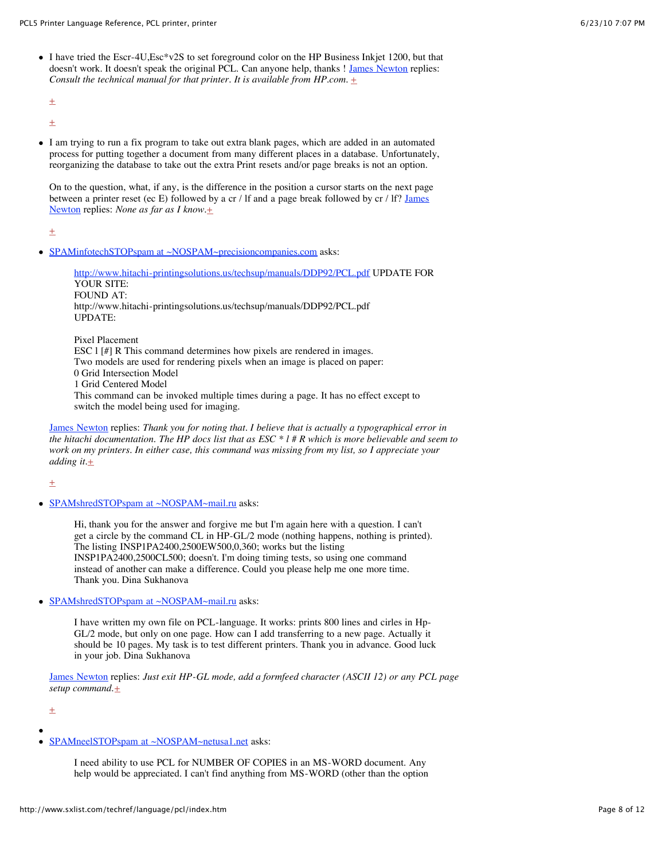- I have tried the Escr-4U, Esc\*v2S to set foreground color on the HP Business Inkjet 1200, but that doesn't work. It doesn't speak the original PCL. Can anyone help, thanks ! James [Newton](http://www.sxlist.com/techref/member/JMN-EFP-786/index.htm) replies: *Consult the technical manual for that printer. It is available from HP.com.*  $\pm$ 
	- $\pm$

 $\pm$ 

I am trying to run a fix program to take out extra blank pages, which are added in an automated process for putting together a document from many different places in a database. Unfortunately, reorganizing the database to take out the extra Print resets and/or page breaks is not an option.

On to the question, what, if any, is the difference in the position a cursor starts on the next page [between a printer reset \(ec E\) followed by a cr /](http://www.sxlist.com/techref/member/JMN-EFP-786/index.htm) lf and a page break followed by cr / lf? James Newton replies: *None as far as I know.*[+](http://www.sxlist.com/techref/login/default.asp?req=/techref/update.asp%3Fact=reply%26url=/techref/language/pcl/index.htm%26id=38469.9231481481)

[+](http://www.sxlist.com/techref/login/default.asp?req=/techref/update.asp%3Fact=reply%26url=/techref/language/pcl/index.htm%26id=38469.5996527778)

• [SPAMinfotechSTOPspam at ~NOSPAM~precisioncompanies.com](mailto:SPAMinfotechSTOPspam%20at%20~NOSPAM~precisioncompanies.com) asks:

<http://www.hitachi-printingsolutions.us/techsup/manuals/DDP92/PCL.pdf> UPDATE FOR YOUR SITE: FOUND AT: http://www.hitachi-printingsolutions.us/techsup/manuals/DDP92/PCL.pdf UPDATE:

Pixel Placement

ESC 1 [#] R This command determines how pixels are rendered in images. Two models are used for rendering pixels when an image is placed on paper: 0 Grid Intersection Model 1 Grid Centered Model This command can be invoked multiple times during a page. It has no effect except to

switch the model being used for imaging.

James [Newton](http://www.sxlist.com/techref/member/JMN-EFP-786/index.htm) replies: *Thank you for noting that. I believe that is actually a typographical error in the hitachi documentation. The HP docs list that as ESC \* l # R which is more believable and seem to work on my printers. In either case, this command was missing from my list, so I appreciate your adding it.*[+](http://www.sxlist.com/techref/login/default.asp?req=/techref/update.asp%3Fact=reply%26url=/techref/language/pcl/index.htm%26id=38442.7380092593)

 $\pm$ 

• [SPAMshredSTOPspam at ~NOSPAM~mail.ru](mailto:SPAMshredSTOPspam%20at%20~NOSPAM~mail.ru) asks:

Hi, thank you for the answer and forgive me but I'm again here with a question. I can't get a circle by the command CL in HP-GL/2 mode (nothing happens, nothing is printed). The listing INSP1PA2400,2500EW500,0,360; works but the listing INSP1PA2400,2500CL500; doesn't. I'm doing timing tests, so using one command instead of another can make a difference. Could you please help me one more time. Thank you. Dina Sukhanova

• [SPAMshredSTOPspam at ~NOSPAM~mail.ru](mailto:SPAMshredSTOPspam%20at%20~NOSPAM~mail.ru) asks:

I have written my own file on PCL-language. It works: prints 800 lines and cirles in Hp-GL/2 mode, but only on one page. How can I add transferring to a new page. Actually it should be 10 pages. My task is to test different printers. Thank you in advance. Good luck in your job. Dina Sukhanova

James [Newton](http://www.sxlist.com/techref/member/JMN-EFP-786/index.htm) replies: *Just exit HP-GL mode, add a formfeed character (ASCII 12) or any PCL page setup command.*[+](http://www.sxlist.com/techref/login/default.asp?req=/techref/update.asp%3Fact=reply%26url=/techref/language/pcl/index.htm%26id=38209.7421759259)

[+](http://www.sxlist.com/techref/login/default.asp?req=/techref/update.asp%3Fact=reply%26url=/techref/language/pcl/index.htm%26id=38208.292025463)

[SPAMneelSTOPspam at ~NOSPAM~netusa1.net](mailto:SPAMneelSTOPspam%20at%20~NOSPAM~netusa1.net) asks:

I need ability to use PCL for NUMBER OF COPIES in an MS-WORD document. Any help would be appreciated. I can't find anything from MS-WORD (other than the option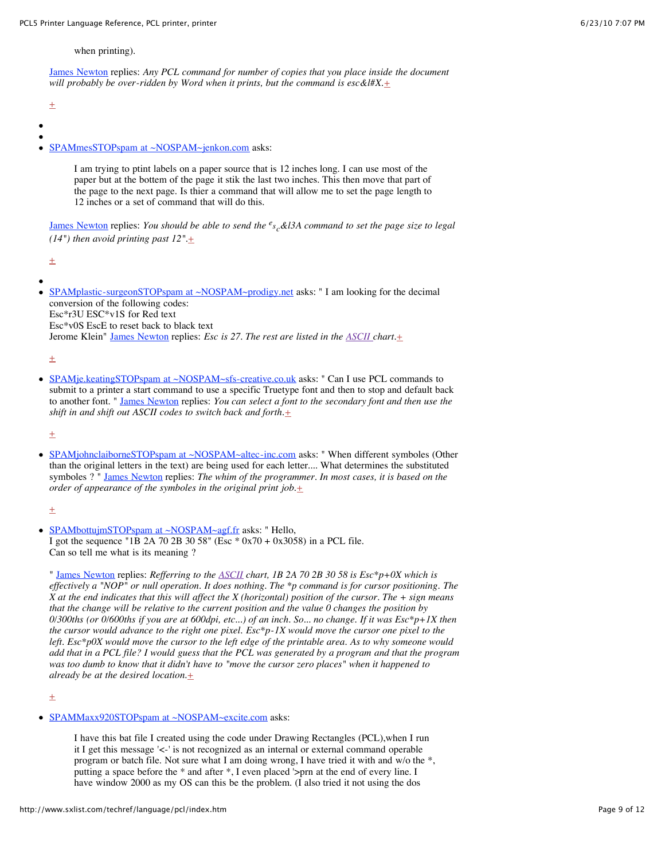when printing).

James [Newton](http://www.sxlist.com/techref/member/JMN-EFP-786/index.htm) replies: *Any PCL command for number of copies that you place inside the document will probably be over-ridden by Word when it prints, but the command is esc&l#X.*[+](http://www.sxlist.com/techref/login/default.asp?req=/techref/update.asp%3Fact=reply%26url=/techref/language/pcl/index.htm%26id=38040.836087963)

 $\pm$ 

- 
- 
- [SPAMmesSTOPspam at ~NOSPAM~jenkon.com](mailto:SPAMmesSTOPspam%20at%20~NOSPAM~jenkon.com) asks:

I am trying to ptint labels on a paper source that is 12 inches long. I can use most of the paper but at the bottem of the page it stik the last two inches. This then move that part of the page to the next page. Is thier a command that will allow me to set the page length to 12 inches or a set of command that will do this.

[James Newton](http://www.sxlist.com/techref/member/JMN-EFP-786/index.htm) replies: *You should be able to send the <sup>e</sup> sc&l3A command to set the page size to legal (14") then avoid printing past 12".* $\pm$ 

 $\pm$ 

[SPAMplastic-surgeonSTOPspam at ~NOSPAM~prodigy.net](mailto:SPAMplastic-surgeonSTOPspam%20at%20~NOSPAM~prodigy.net) asks: " I am looking for the decimal conversion of the following codes: Esc\*r3U ESC\*v1S for Red text Esc\*v0S EscE to reset back to black text Jerome Klein" [James Newton](http://www.sxlist.com/techref/member/JMN-EFP-786/index.htm) replies: *Esc is 27. The rest are listed in the [ASCII](http://www.sxlist.com/techref/ascii.htm) chart.*[+](http://www.sxlist.com/techref/login/default.asp?req=/techref/update.asp%3Fact=reply%26url=/techref/language/pcl/index.htm%26id=37755.6431365741)

[+](http://www.sxlist.com/techref/login/default.asp?req=/techref/update.asp%3Fact=reply%26url=/techref/language/pcl/index.htm%26id=37718.725150463)

[SPAMje.keatingSTOPspam at ~NOSPAM~sfs-creative.co.uk](mailto:SPAMje.keatingSTOPspam%20at%20~NOSPAM~sfs-creative.co.uk) asks: " Can I use PCL commands to  $\bullet$ submit to a printer a start command to use a specific Truetype font and then to stop and default back to another font. " [James Newton](http://www.sxlist.com/techref/member/JMN-EFP-786/index.htm) replies: *You can select a font to the secondary font and then use the shift in and shift out ASCII codes to switch back and forth.* $\pm$ 

[+](http://www.sxlist.com/techref/login/default.asp?req=/techref/update.asp%3Fact=reply%26url=/techref/language/pcl/index.htm%26id=37677.3058796296)

• [SPAMjohnclaiborneSTOPspam at ~NOSPAM~altec-inc.com](mailto:SPAMjohnclaiborneSTOPspam%20at%20~NOSPAM~altec-inc.com) asks: "When different symboles (Other than the original letters in the text) are being used for each letter.... What determines the substituted symboles ? " [James Newton](http://www.sxlist.com/techref/member/JMN-EFP-786/index.htm) replies: *The whim of the programmer. In most cases, it is based on the order of appearance of the symboles in the original print job.* $\pm$ 

 $\pm$ 

[SPAMbottujmSTOPspam at ~NOSPAM~agf.fr](mailto:SPAMbottujmSTOPspam%20at%20~NOSPAM~agf.fr) asks: " Hello, I got the sequence "1B 2A 70 2B 30 58" (Esc  $*$  0x70 + 0x3058) in a PCL file. Can so tell me what is its meaning ?

" James [Newton](http://www.sxlist.com/techref/member/JMN-EFP-786/index.htm) replies: *Refferring to the [ASCII](http://www.sxlist.com/techref/ascii.htm) chart, 1B 2A 70 2B 30 58 is Esc\*p+0X which is effectively a "NOP" or null operation. It does nothing. The \*p command is for cursor positioning. The X at the end indicates that this will affect the X (horizontal) position of the cursor. The + sign means that the change will be relative to the current position and the value 0 changes the position by 0/300ths (or 0/600ths if you are at 600dpi, etc...) of an inch. So... no change. If it was Esc\*p+1X then the cursor would advance to the right one pixel. Esc\*p-1X would move the cursor one pixel to the left. Esc\*p0X would move the cursor to the left edge of the printable area. As to why someone would add that in a PCL file? I would guess that the PCL was generated by a program and that the program was too dumb to know that it didn't have to "move the cursor zero places" when it happened to already be at the desired location.*[+](http://www.sxlist.com/techref/login/default.asp?req=/techref/update.asp%3Fact=reply%26url=/techref/language/pcl/index.htm%26id=37629.4667592593)

 $\pm$ 

• [SPAMMaxx920STOPspam at ~NOSPAM~excite.com](mailto:SPAMMaxx920STOPspam%20at%20~NOSPAM~excite.com) asks:

I have this bat file I created using the code under Drawing Rectangles (PCL),when I run it I get this message '<-' is not recognized as an internal or external command operable program or batch file. Not sure what I am doing wrong, I have tried it with and w/o the \*, putting a space before the \* and after \*, I even placed '>prn at the end of every line. I have window 2000 as my OS can this be the problem. (I also tried it not using the dos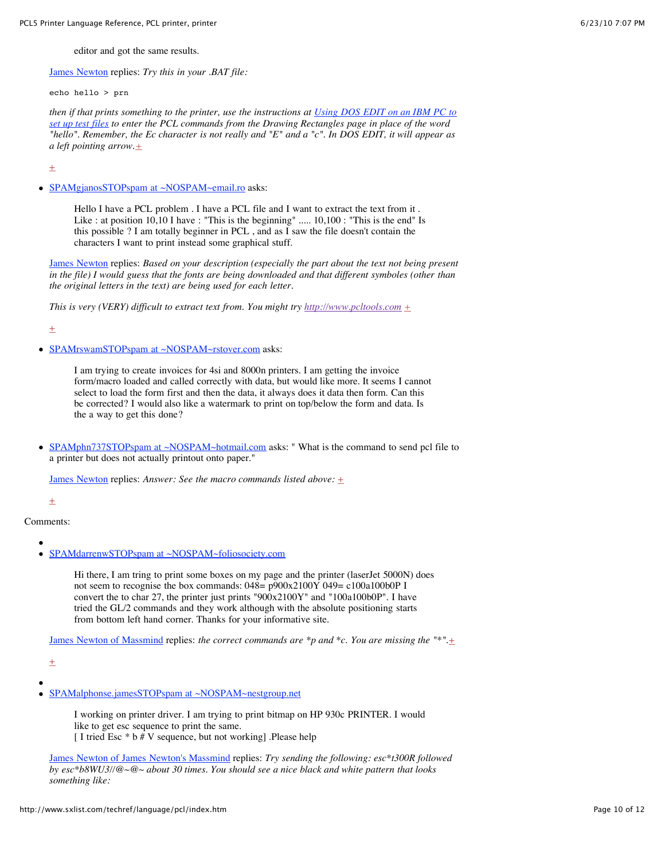editor and got the same results.

[James Newton](http://www.sxlist.com/techref/member/JMN-EFP-786/index.htm) replies: *Try this in your .BAT file:*

echo hello > prn

*then if that prints something to the printer, use the instructions at Using DOS EDIT on an IBM PC to [set up test files to enter the PCL commands from the Drawing Rectangles](http://www.sxlist.com/techref/language/pcl/dosedit.htm) page in place of the word "hello". Remember, the Ec character is not really and "E" and a "c". In DOS EDIT, it will appear as a left pointing arrow.[+](http://www.sxlist.com/techref/login/default.asp?req=/techref/update.asp%3Fact=reply%26url=/techref/language/pcl/index.htm%26id=37624.9957986111)*

 $+$ 

• [SPAMgjanosSTOPspam at ~NOSPAM~email.ro](mailto:SPAMgjanosSTOPspam%20at%20~NOSPAM~email.ro) asks:

Hello I have a PCL problem . I have a PCL file and I want to extract the text from it . Like : at position 10,10 I have : "This is the beginning" ..... 10,100 : "This is the end" Is this possible ? I am totally beginner in PCL , and as I saw the file doesn't contain the characters I want to print instead some graphical stuff.

[James Newton](http://www.sxlist.com/techref/member/JMN-EFP-786/index.htm) replies: *Based on your description (especially the part about the text not being present in the file) I would guess that the fonts are being downloaded and that different symboles (other than the original letters in the text) are being used for each letter.*

*This is very (VERY) difficult to extract text from. You might try [http://www.pcltools.com](http://www.pcltools.com/) [+](http://www.sxlist.com/techref/login/default.asp?req=/techref/update.asp%3Fact=reply%26url=/techref/language/pcl/index.htm%26id=37625.0096990741)*

 $\pm$ 

[SPAMrswamSTOPspam at ~NOSPAM~rstover.com](mailto:SPAMrswamSTOPspam%20at%20~NOSPAM~rstover.com) asks:

I am trying to create invoices for 4si and 8000n printers. I am getting the invoice form/macro loaded and called correctly with data, but would like more. It seems I cannot select to load the form first and then the data, it always does it data then form. Can this be corrected? I would also like a watermark to print on top/below the form and data. Is the a way to get this done?

[SPAMphn737STOPspam at ~NOSPAM~hotmail.com](mailto:SPAMphn737STOPspam%20at%20~NOSPAM~hotmail.com) asks: " What is the command to send pcl file to a printer but does not actually printout onto paper."

[James Newton](http://www.sxlist.com/techref/member/JMN-EFP-786/index.htm) replies: *Answer: See the macro commands listed above:* [+](http://www.sxlist.com/techref/login/default.asp?req=/techref/update.asp%3Fact=reply%26url=/techref/language/pcl/index.htm%26id=37625.0096990743)

[+](http://www.sxlist.com/techref/login/default.asp?req=/techref/update.asp%3Fact=reply%26url=/techref/language/pcl/index.htm%26id=37400.4518055557)

Comments:

[SPAMdarrenwSTOPspam at ~NOSPAM~foliosociety.com](mailto:SPAMdarrenwSTOPspam%20at%20~NOSPAM~foliosociety.com)

Hi there, I am tring to print some boxes on my page and the printer (laserJet 5000N) does not seem to recognise the box commands: 048= p900x2100Y 049= c100a100b0P I convert the to char 27, the printer just prints "900x2100Y" and "100a100b0P". I have tried the GL/2 commands and they work although with the absolute positioning starts from bottom left hand corner. Thanks for your informative site.

[James Newton of Massmind](http://www.sxlist.com/techref/member/JMN-EFP-786/index.htm) replies: *the correct commands are \*p and \*c. You are missing the* "\*". $\pm$ 

 $\pm$ 

[SPAMalphonse.jamesSTOPspam at ~NOSPAM~nestgroup.net](mailto:SPAMalphonse.jamesSTOPspam%20at%20~NOSPAM~nestgroup.net)

I working on printer driver. I am trying to print bitmap on HP 930c PRINTER. I would like to get esc sequence to print the same. [ I tried Esc  $*$  b  $#V$  sequence, but not working] .Please help

James [Newton of James Newton's Massmind](http://www.sxlist.com/techref/member/JMN-EFP-786/index.htm) replies: *Try sending the following: esc\*t300R followed by esc\*b8WU3//@~@~ about 30 times. You should see a nice black and white pattern that looks something like:*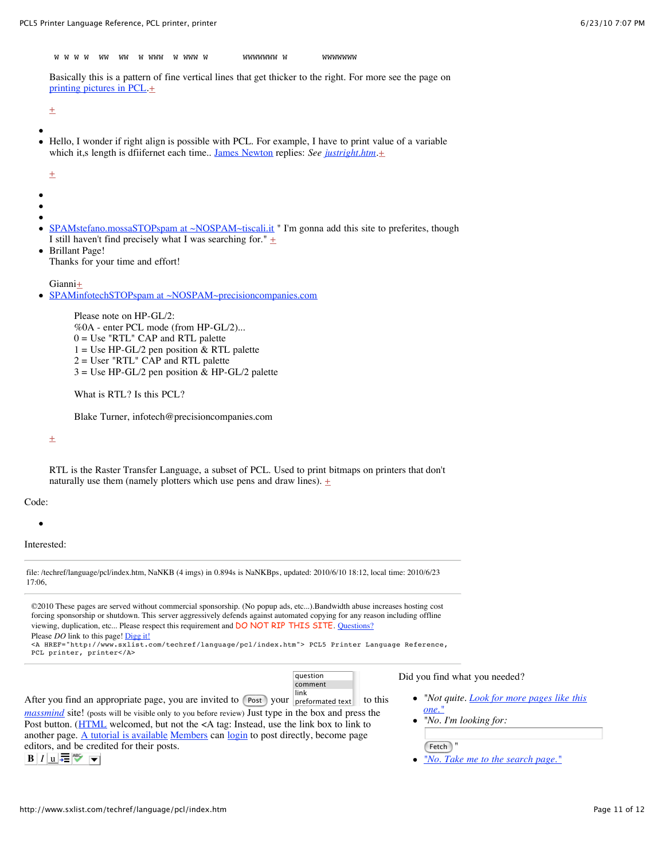W W W W WW WW W WWW W WWW W WWWWWWW W WWWWWWW

Basically this is a pattern of fine vertical lines that get thicker to the right. For more see the page on printing [pictures in PCL](http://techref.massmind.org/techref/language/pcl/pictures.htm)[.+](http://www.sxlist.com/techref/login/default.asp?req=/techref/update.asp%3Fact=reply%26url=/techref/language/pcl/index.htm%26id=39646.4411921296)

 $\pm$ 

- Hello, I wonder if right align is possible with PCL. For example, I have to print value of a variable which it,s length is dfiifernet each time.. James [Newton](http://www.sxlist.com/techref/member/JMN-EFP-786/index.htm) replies: *See [justright.htm.](http://www.sxlist.com/techref/language/pcl/justright.htm)*[+](http://www.sxlist.com/techref/login/default.asp?req=/techref/update.asp%3Fact=reply%26url=/techref/language/pcl/index.htm%26id=39261.5635648148)
	- $\pm$
	-
- $\bullet$
- $\bullet$
- [SPAMstefano.mossaSTOPspam at ~NOSPAM~tiscali.it](mailto:SPAMstefano.mossaSTOPspam%20at%20~NOSPAM~tiscali.it) " I'm gonna add this site to preferites, though  $\bullet$ I still haven't find precisely what I was searching for."  $\pm$
- Brillant Page! Thanks for your time and effort!

Gianni[+](http://www.sxlist.com/techref/login/default.asp?req=/techref/update.asp%3Fact=reply%26url=/techref/language/pcl/index.htm%26id=38785.1459027778)

[SPAMinfotechSTOPspam at ~NOSPAM~precisioncompanies.com](mailto:SPAMinfotechSTOPspam%20at%20~NOSPAM~precisioncompanies.com)

Please note on HP-GL/2: %0A - enter PCL mode (from HP-GL/2)... 0 = Use "RTL" CAP and RTL palette  $1 =$  Use HP-GL/2 pen position & RTL palette 2 = User "RTL" CAP and RTL palette  $3 =$  Use HP-GL/2 pen position & HP-GL/2 palette

What is RTL? Is this PCL?

Blake Turner, infotech@precisioncompanies.com

 $\pm$ 

RTL is the Raster Transfer Language, a subset of PCL. Used to print bitmaps on printers that don't naturally use them (namely plotters which use pens and draw lines).  $+$ 

Code:  $\bullet$ 

Interested:

file: /techref/language/pcl/index.htm, NaNKB (4 imgs) in 0.894s is NaNKBps, updated: 2010/6/10 18:12, local time: 2010/6/23 17:06,

©2010 These pages are served without commercial sponsorship. (No popup ads, etc...).Bandwidth abuse increases hosting cost forcing sponsorship or shutdown. This server aggressively defends against automated copying for any reason including offline viewing, duplication, etc... Please respect this requirement and **DO NOT RIP THIS SITE**. **[Questions?](http://www.sxlist.com/dontripthissite.htm)** Please *DO* link to this page! [Digg it!](http://digg.com/submit?phase=2&url=http://www.sxlist.com/techref%2Flanguage%2Fpcl%2Findex%2Ehtm&title=PCL5+Printer+Language+Reference%2C+PCL+printer%2C+printer)

<A HREF="http://www.sxlist.com/techref/language/pcl/index.htm"> PCL5 Printer Language Reference, PCL printer, printer</A>

| question |
|----------|
| comment  |
| link     |

After you find an appropriate page, you are invited to  $\left(\begin{array}{cc} \text{Post} \\ \text{Post} \end{array}\right)$  your  $\left|\begin{array}{cc} \text{link} \\ \text{preformed text} \end{array}\right|$  to this *[massmind](http://www.sxlist.com/idea/websites.htm)* site! (posts will be visible only to you before review) Just type in the box and press the Post button. ([HTML](http://www.sxlist.com/techref/language/html/index.htm) welcomed, but not the <A tag: Instead, use the link box to link to another page. [A tutorial is available](http://www.sxlist.com/techref/idea/website/codetutorial.htm) [Members](http://www.sxlist.com/techref/private.asp?req=membership) can [login](http://www.sxlist.com/techref/login/default.asp?req=403%3Bhttp%3A%2F%2Fwww%2Esxlist%2Ecom%2Ftechref%2Flanguage%2Fpcl%2Findex%2Ehtm%23form) to post directly, become page editors, and be credited for their posts. **B**  $I|u| \equiv$   $\vee$ 

Did you find what you needed?

- *["Not quite. Look for more pages like this](http://www.sxlist.com/techref/postsearch.asp?from=%2Ftechref%2Flanguage%2Fpcl%2Findex%2Ehtm) one."*
- *"No. I'm looking for:*

Fetch *"*

*["No. Take me to the search page."](http://www.sxlist.com/techref/postsearch.asp)*